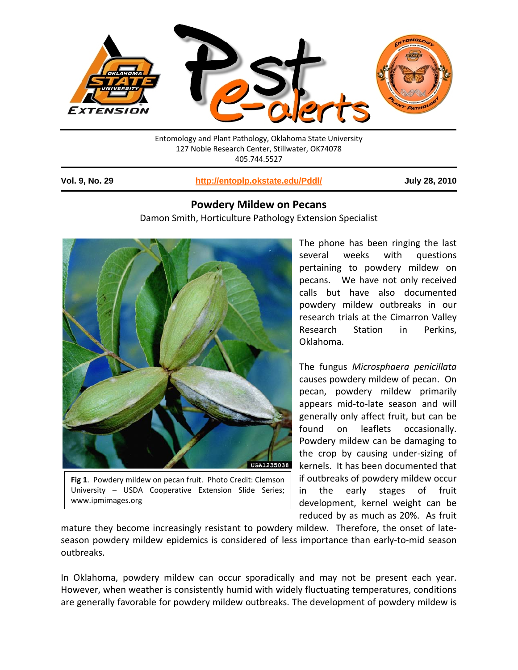

Entomology and Plant Pathology, Oklahoma State University 127 Noble Research Center, Stillwater, OK74078 405.744.5527

1

**Vol. 9, No. 29 http://entoplp.okstate.edu/Pddl/ July 28, 2010**

## **Powdery Mildew on Pecans**

Damon Smith, Horticulture Pathology Extension Specialist



**Fig 1**. Powdery mildew on pecan fruit. Photo Credit: Clemson University – USDA Cooperative Extension Slide Series; www.ipmimages.org

The phone has been ringing the last several weeks with questions pertaining to powdery mildew on pecans. We have not only received calls but have also documented powdery mildew outbreaks in our research trials at the Cimarron Valley Research Station in Perkins, Oklahoma.

The fungus *Microsphaera penicillata* causes powdery mildew of pecan. On pecan, powdery mildew primarily appears mid‐to‐late season and will generally only affect fruit, but can be found on leaflets occasionally. Powdery mildew can be damaging to the crop by causing under‐sizing of kernels. It has been documented that if outbreaks of powdery mildew occur in the early stages of fruit development, kernel weight can be reduced by as much as 20%. As fruit

mature they become increasingly resistant to powdery mildew. Therefore, the onset of late‐ season powdery mildew epidemics is considered of less importance than early-to-mid season outbreaks.

In Oklahoma, powdery mildew can occur sporadically and may not be present each year. However, when weather is consistently humid with widely fluctuating temperatures, conditions are generally favorable for powdery mildew outbreaks. The development of powdery mildew is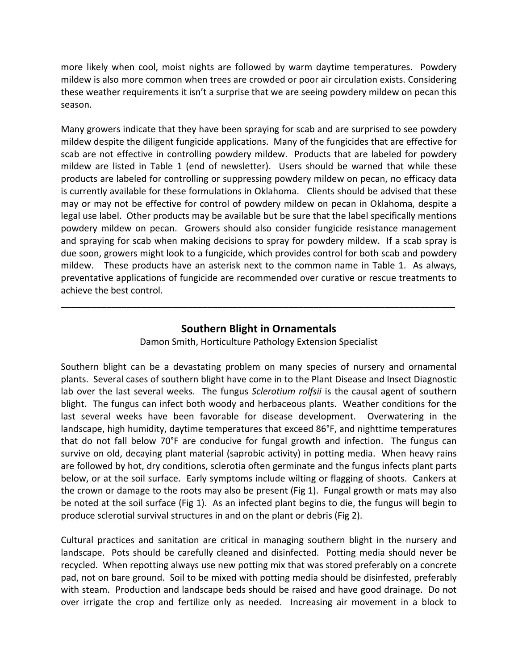more likely when cool, moist nights are followed by warm daytime temperatures. Powdery mildew is also more common when trees are crowded or poor air circulation exists. Considering these weather requirements it isn't a surprise that we are seeing powdery mildew on pecan this season.

Many growers indicate that they have been spraying for scab and are surprised to see powdery mildew despite the diligent fungicide applications. Many of the fungicides that are effective for scab are not effective in controlling powdery mildew. Products that are labeled for powdery mildew are listed in Table 1 (end of newsletter). Users should be warned that while these products are labeled for controlling or suppressing powdery mildew on pecan, no efficacy data is currently available for these formulations in Oklahoma. Clients should be advised that these may or may not be effective for control of powdery mildew on pecan in Oklahoma, despite a legal use label. Other products may be available but be sure that the label specifically mentions powdery mildew on pecan. Growers should also consider fungicide resistance management and spraying for scab when making decisions to spray for powdery mildew. If a scab spray is due soon, growers might look to a fungicide, which provides control for both scab and powdery mildew. These products have an asterisk next to the common name in Table 1. As always, preventative applications of fungicide are recommended over curative or rescue treatments to achieve the best control.

## **Southern Blight in Ornamentals**

\_\_\_\_\_\_\_\_\_\_\_\_\_\_\_\_\_\_\_\_\_\_\_\_\_\_\_\_\_\_\_\_\_\_\_\_\_\_\_\_\_\_\_\_\_\_\_\_\_\_\_\_\_\_\_\_\_\_\_\_\_\_\_\_\_\_\_\_\_\_\_\_\_\_\_\_\_\_

Damon Smith, Horticulture Pathology Extension Specialist

Southern blight can be a devastating problem on many species of nursery and ornamental plants. Several cases of southern blight have come in to the Plant Disease and Insect Diagnostic lab over the last several weeks. The fungus *Sclerotium rolfsii* is the causal agent of southern blight. The fungus can infect both woody and herbaceous plants. Weather conditions for the last several weeks have been favorable for disease development. Overwatering in the landscape, high humidity, daytime temperatures that exceed 86°F, and nighttime temperatures that do not fall below 70°F are conducive for fungal growth and infection. The fungus can survive on old, decaying plant material (saprobic activity) in potting media. When heavy rains are followed by hot, dry conditions, sclerotia often germinate and the fungus infects plant parts below, or at the soil surface. Early symptoms include wilting or flagging of shoots. Cankers at the crown or damage to the roots may also be present (Fig 1). Fungal growth or mats may also be noted at the soil surface (Fig 1). As an infected plant begins to die, the fungus will begin to produce sclerotial survival structures in and on the plant or debris (Fig 2).

Cultural practices and sanitation are critical in managing southern blight in the nursery and landscape. Pots should be carefully cleaned and disinfected. Potting media should never be recycled. When repotting always use new potting mix that was stored preferably on a concrete pad, not on bare ground. Soil to be mixed with potting media should be disinfested, preferably with steam. Production and landscape beds should be raised and have good drainage. Do not over irrigate the crop and fertilize only as needed. Increasing air movement in a block to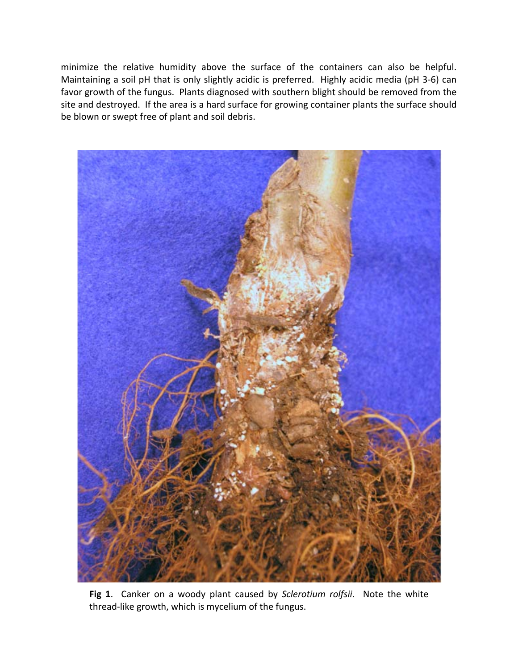minimize the relative humidity above the surface of the containers can also be helpful. Maintaining a soil pH that is only slightly acidic is preferred. Highly acidic media (pH 3‐6) can favor growth of the fungus. Plants diagnosed with southern blight should be removed from the site and destroyed. If the area is a hard surface for growing container plants the surface should be blown or swept free of plant and soil debris.



**Fig 1**. Canker on a woody plant caused by *Sclerotium rolfsii*. Note the white thread‐like growth, which is mycelium of the fungus.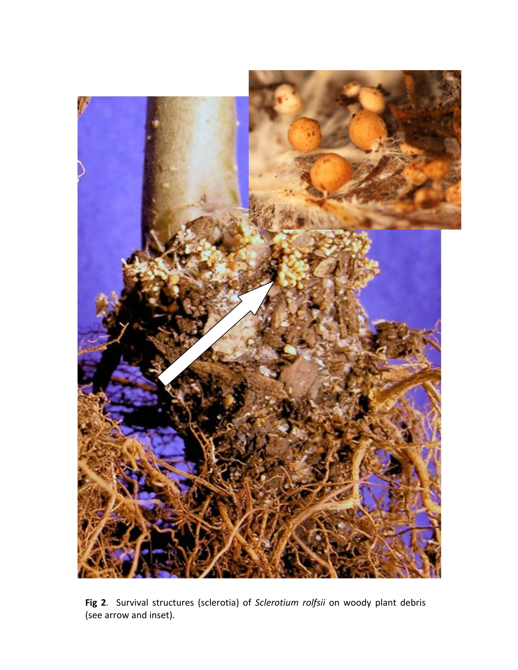

**Fig 2**. Survival structures (sclerotia) of *Sclerotium rolfsii* on woody plant debris (see arrow and inset).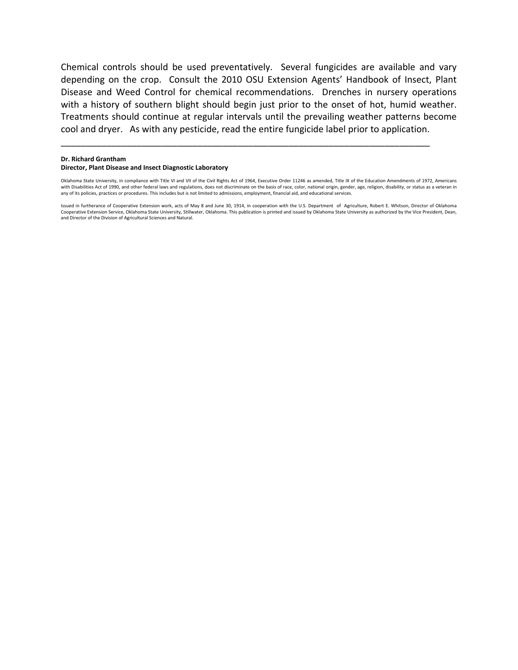Chemical controls should be used preventatively. Several fungicides are available and vary depending on the crop. Consult the 2010 OSU Extension Agents' Handbook of Insect, Plant Disease and Weed Control for chemical recommendations. Drenches in nursery operations with a history of southern blight should begin just prior to the onset of hot, humid weather. Treatments should continue at regular intervals until the prevailing weather patterns become cool and dryer. As with any pesticide, read the entire fungicide label prior to application.

**Dr. Richard Grantham**

## **Director, Plant Disease and Insect Diagnostic Laboratory**

Oklahoma State University, in compliance with Title VI and VII of the Civil Rights Act of 1964, Executive Order 11246 as amended, Title IX of the Education Amendments of 1972, Americans with Disabilities Act of 1990, and other federal laws and regulations, does not discriminate on the basis of race, color, national origin, gender, age, religion, disability, or status as a veteran in any of its policies, practices or procedures. This includes but is not limited to admissions, employment, financial aid, and educational services.

\_\_\_\_\_\_\_\_\_\_\_\_\_\_\_\_\_\_\_\_\_\_\_\_\_\_\_\_\_\_\_\_\_\_\_\_\_\_\_\_\_\_\_\_\_\_\_\_\_\_\_\_\_\_\_\_\_\_\_\_\_\_\_\_\_\_\_\_\_\_\_\_\_

Issued in furtherance of Cooperative Extension work, acts of May 8 and June 30, 1914, in cooperation with the U.S. Department of Agriculture, Robert E. Whitson, Director of Oklahoma Cooperative Extension Service, Oklahoma State University, Stillwater, Oklahoma. This publication is printed and issued by Oklahoma State University as authorized by the Vice President, Dean, and Director of the Division of Agricultural Sciences and Natural.